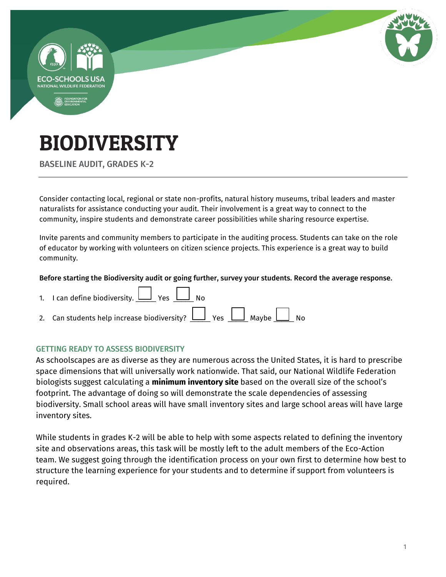

BASELINE AUDIT, GRADES K-2

Consider contacting local, regional or state non-profits, natural history museums, tribal leaders and master naturalists for assistance conducting your audit. Their involvement is a great way to connect to the community, inspire students and demonstrate career possibilities while sharing resource expertise.

Invite parents and community members to participate in the auditing process. Students can take on the role of educator by working with volunteers on citizen science projects. This experience is a great way to build community.

#### Before starting the Biodiversity audit or going further, survey your students. Record the average response.

| 1. I can define biodiversity. $\boxed{\phantom{1}}$ Yes $\boxed{\phantom{1}}$ No                                           |
|----------------------------------------------------------------------------------------------------------------------------|
| 2. Can students help increase biodiversity? $\boxed{\phantom{1}}$ Yes $\boxed{\phantom{1}}$ Maybe $\boxed{\phantom{1}}$ No |

#### GETTING READY TO ASSESS BIODIVERSITY

As schoolscapes are as diverse as they are numerous across the United States, it is hard to prescribe space dimensions that will universally work nationwide. That said, our National Wildlife Federation biologists suggest calculating a **minimum inventory site** based on the overall size of the school's footprint. The advantage of doing so will demonstrate the scale dependencies of assessing biodiversity. Small school areas will have small inventory sites and large school areas will have large inventory sites.

While students in grades K-2 will be able to help with some aspects related to defining the inventory site and observations areas, this task will be mostly left to the adult members of the Eco-Action team. We suggest going through the identification process on your own first to determine how best to structure the learning experience for your students and to determine if support from volunteers is required.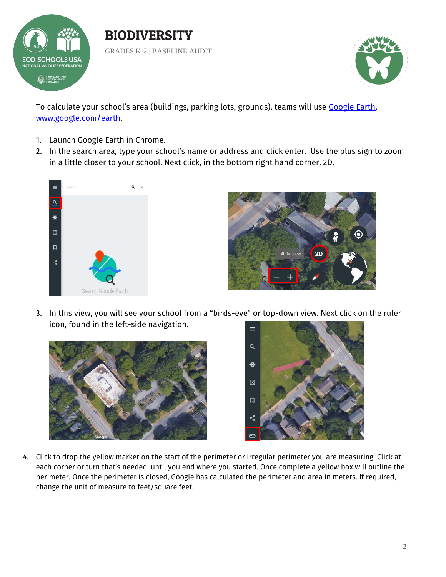

BIODIVERSITY GRADES K-2 | BASELINE AUDIT



To calculate your school's area (buildings, parking lots, grounds), teams will use [Google Earth,](https://www.google.com/earth/) [www.google.com/earth.](file:///C:/Users/hammondsj/Dropbox%20(NWF)/Education/ENVIROED/K-16%20Education/Audits/Biodiversity/www.google.com/earth)

- 1. Launch Google Earth in Chrome.
- 2. In the search area, type your school's name or address and click enter. Use the plus sign to zoom in a little closer to your school. Next click, in the bottom right hand corner, 2D.





3. In this view, you will see your school from a "birds-eye" or top-down view. Next click on the ruler icon, found in the left-side navigation.





4. Click to drop the yellow marker on the start of the perimeter or irregular perimeter you are measuring. Click at each corner or turn that's needed, until you end where you started. Once complete a yellow box will outline the perimeter. Once the perimeter is closed, Google has calculated the perimeter and area in meters. If required, change the unit of measure to feet/square feet.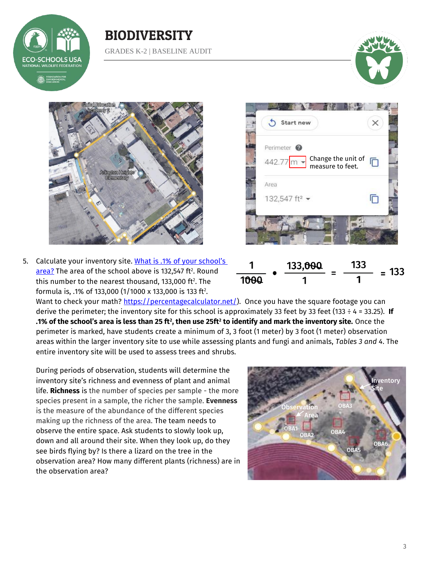

### BIODIVERSITY GRADES K-2 | BASELINE AUDIT





5. Calculate your inventory site. What is .1% of your school's <u>area?</u> The area of the school above is 132,547 ft². Round this number to the nearest thousand, 133,000 ft $^{\rm 2}$ . The formula is, .1% of 133,000 (1/1000 x 133,000 is 133 ft<sup>2</sup> .





Want to check your math? [https://percentagecalculator.net/\)](https://percentagecalculator.net/). Once you have the square footage you can derive the perimeter; the inventory site for this school is approximately 33 feet by 33 feet (133 ÷ 4 = 33.25). **If .1% of the school's area is less than 25 ft<sup>2</sup> , then use 25ft<sup>2</sup> to identify and mark the inventory site.** Once the perimeter is marked, have students create a minimum of 3, 3 foot (1 meter) by 3 foot (1 meter) observation areas within the larger inventory site to use while assessing plants and fungi and animals, *Tables 3 and 4*. The entire inventory site will be used to assess trees and shrubs.

During periods of observation, students will determine the inventory site's richness and evenness of plant and animal life. **Richness** is the number of species per sample - the more species present in a sample, the richer the sample. **Evenness** is the measure of the abundance of the different species making up the richness of the area. The team needs to observe the entire space. Ask students to slowly look up, down and all around their site. When they look up, do they see birds flying by? Is there a lizard on the tree in the observation area? How many different plants (richness) are in the observation area?

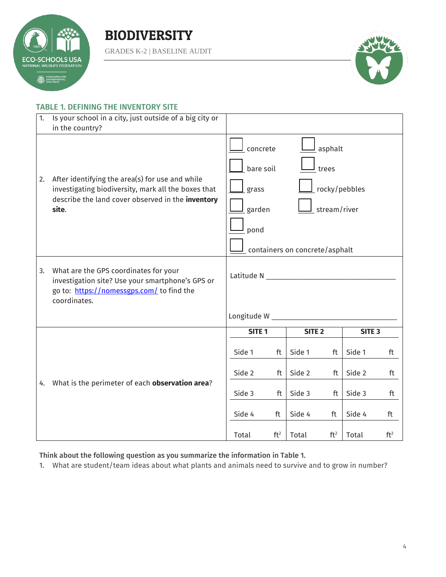

GRADES K-2 | BASELINE AUDIT



#### TABLE 1. DEFINING THE INVENTORY SITE

| 1. | Is your school in a city, just outside of a big city or<br>in the country?                                                                                           |                                                                                                                                         |                 |                   |                 |                   |                 |
|----|----------------------------------------------------------------------------------------------------------------------------------------------------------------------|-----------------------------------------------------------------------------------------------------------------------------------------|-----------------|-------------------|-----------------|-------------------|-----------------|
| 2. | After identifying the area(s) for use and while<br>investigating biodiversity, mark all the boxes that<br>describe the land cover observed in the inventory<br>site. | asphalt<br>concrete<br>bare soil<br>trees<br>rocky/pebbles<br>grass<br>stream/river<br>garden<br>pond<br>containers on concrete/asphalt |                 |                   |                 |                   |                 |
| 3. | What are the GPS coordinates for your<br>investigation site? Use your smartphone's GPS or<br>go to: https://nomessgps.com/ to find the<br>coordinates.               | Latitude N _______<br>Longitude W ___________                                                                                           |                 |                   |                 |                   |                 |
|    |                                                                                                                                                                      |                                                                                                                                         |                 |                   |                 |                   |                 |
|    |                                                                                                                                                                      | SITE <sub>1</sub>                                                                                                                       |                 | SITE <sub>2</sub> |                 | SITE <sub>3</sub> |                 |
|    |                                                                                                                                                                      | Side 1                                                                                                                                  | ft              | Side 1            | ft              | Side 1            | ft              |
|    |                                                                                                                                                                      | Side 2                                                                                                                                  | ft              | Side 2            | ft              | Side 2            | ft              |
| 4. | What is the perimeter of each observation area?                                                                                                                      | Side 3                                                                                                                                  | ft              | Side 3            | ft              | Side 3            | ft              |
|    |                                                                                                                                                                      | Side 4                                                                                                                                  | ft              | Side 4            | ft              | Side 4            | ft              |
|    |                                                                                                                                                                      | Total                                                                                                                                   | ft <sup>2</sup> | Total             | ft <sup>2</sup> | Total             | ft <sup>2</sup> |

Think about the following question as you summarize the information in Table 1.

1. What are student/team ideas about what plants and animals need to survive and to grow in number?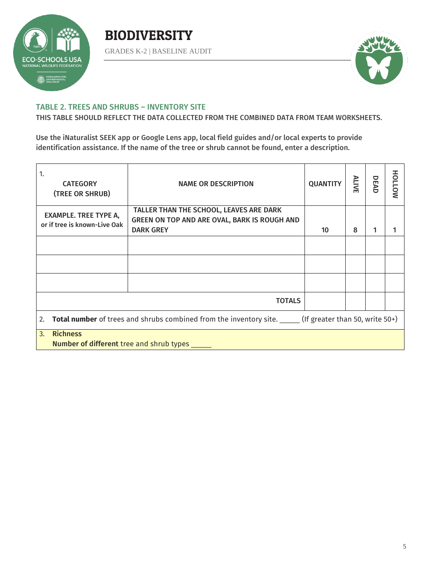

GRADES K-2 | BASELINE AUDIT



#### TABLE 2. TREES AND SHRUBS – INVENTORY SITE

THIS TABLE SHOULD REFLECT THE DATA COLLECTED FROM THE COMBINED DATA FROM TEAM WORKSHEETS.

Use the iNaturalist SEEK app or Google Lens app, local field guides and/or local experts to provide identification assistance. If the name of the tree or shrub cannot be found, enter a description.

| 1.<br><b>CATEGORY</b><br>(TREE OR SHRUB)                                                                        | <b>NAME OR DESCRIPTION</b>                                                                                  | <b>QUANTITY</b> | <b>ALIVE</b> | DEAD | NOTIOH |
|-----------------------------------------------------------------------------------------------------------------|-------------------------------------------------------------------------------------------------------------|-----------------|--------------|------|--------|
| <b>EXAMPLE. TREE TYPE A,</b><br>or if tree is known-Live Oak                                                    | TALLER THAN THE SCHOOL, LEAVES ARE DARK<br>GREEN ON TOP AND ARE OVAL, BARK IS ROUGH AND<br><b>DARK GREY</b> | 10              | 8            | 1    |        |
|                                                                                                                 |                                                                                                             |                 |              |      |        |
|                                                                                                                 |                                                                                                             |                 |              |      |        |
|                                                                                                                 |                                                                                                             |                 |              |      |        |
| <b>TOTALS</b>                                                                                                   |                                                                                                             |                 |              |      |        |
| Total number of trees and shrubs combined from the inventory site. ______ (If greater than 50, write 50+)<br>2. |                                                                                                             |                 |              |      |        |
| <b>Richness</b><br>3.<br><b>Number of different tree and shrub types</b> ____                                   |                                                                                                             |                 |              |      |        |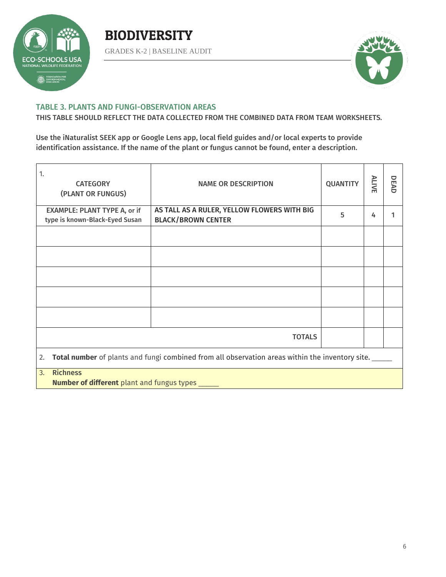

GRADES K-2 | BASELINE AUDIT



#### TABLE 3. PLANTS AND FUNGI-OBSERVATION AREAS

THIS TABLE SHOULD REFLECT THE DATA COLLECTED FROM THE COMBINED DATA FROM TEAM WORKSHEETS.

Use the iNaturalist SEEK app or Google Lens app, local field guides and/or local experts to provide identification assistance. If the name of the plant or fungus cannot be found, enter a description.

| 1.<br><b>CATEGORY</b><br>(PLANT OR FUNGUS)                                                            | <b>NAME OR DESCRIPTION</b>                  | <b>QUANTITY</b> | <b>ALIVE</b> | DEAD |  |
|-------------------------------------------------------------------------------------------------------|---------------------------------------------|-----------------|--------------|------|--|
| <b>EXAMPLE: PLANT TYPE A, or if</b>                                                                   | AS TALL AS A RULER, YELLOW FLOWERS WITH BIG | 5               | 4            |      |  |
| type is known-Black-Eyed Susan                                                                        | <b>BLACK/BROWN CENTER</b>                   |                 |              |      |  |
|                                                                                                       |                                             |                 |              |      |  |
|                                                                                                       |                                             |                 |              |      |  |
|                                                                                                       |                                             |                 |              |      |  |
|                                                                                                       |                                             |                 |              |      |  |
|                                                                                                       |                                             |                 |              |      |  |
|                                                                                                       | <b>TOTALS</b>                               |                 |              |      |  |
| Total number of plants and fungi combined from all observation areas within the inventory site.<br>2. |                                             |                 |              |      |  |
| <b>Richness</b><br>3.<br>N                                                                            |                                             |                 |              |      |  |

**Number of different** plant and fungus types \_\_\_\_\_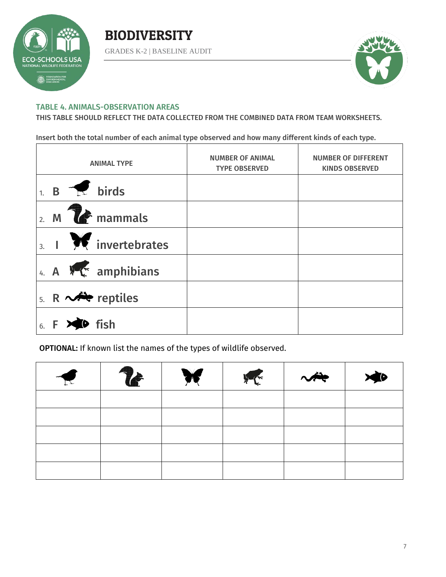



#### TABLE 4. ANIMALS-OBSERVATION AREAS

THIS TABLE SHOULD REFLECT THE DATA COLLECTED FROM THE COMBINED DATA FROM TEAM WORKSHEETS.

Insert both the total number of each animal type observed and how many different kinds of each type.

|                  |                       | <b>ANIMAL TYPE</b>                          | <b>NUMBER OF ANIMAL</b><br><b>TYPE OBSERVED</b> | <b>NUMBER OF DIFFERENT</b><br><b>KINDS OBSERVED</b> |
|------------------|-----------------------|---------------------------------------------|-------------------------------------------------|-----------------------------------------------------|
|                  |                       | $1. B \rightarrow \mathbb{R}$ birds         |                                                 |                                                     |
| $\overline{2}$ . |                       | $M$ $\sim$ mammals                          |                                                 |                                                     |
|                  |                       | $\frac{1}{3}$ . $\frac{1}{2}$ invertebrates |                                                 |                                                     |
|                  |                       | 4. A $\sqrt{\phantom{a}}$ amphibians        |                                                 |                                                     |
|                  |                       | 5. R $\sim$ reptiles                        |                                                 |                                                     |
|                  | $6. F \times 10$ fish |                                             |                                                 |                                                     |

OPTIONAL: If known list the names of the types of wildlife observed.

| $\blacktriangledown$ | $\mathbf{r}$ | WE INCOME | $\sim$ |  |
|----------------------|--------------|-----------|--------|--|
|                      |              |           |        |  |
|                      |              |           |        |  |
|                      |              |           |        |  |
|                      |              |           |        |  |
|                      |              |           |        |  |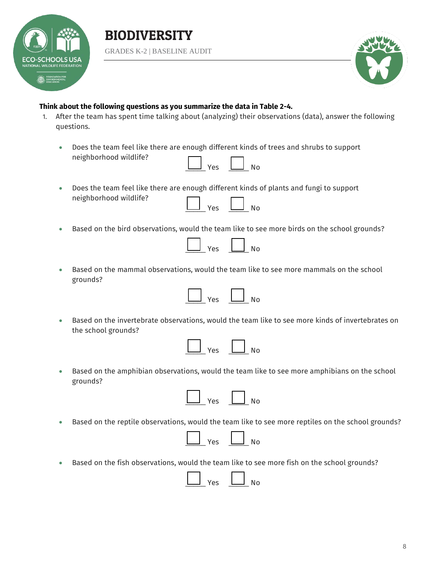



#### **Think about the following questions as you summarize the data in Table 2-4.**

neighborhood wildlife?

- 1. After the team has spent time talking about (analyzing) their observations (data), answer the following questions.
	- Does the team feel like there are enough different kinds of trees and shrubs to support neighborhood wildlife?  $Yes \quad \boxed{\qquad}$  No

| Does the team feel like there are enough different kinds of plants and fungi to support |  |  |
|-----------------------------------------------------------------------------------------|--|--|

Based on the bird observations, would the team like to see more birds on the school grounds?

 Based on the mammal observations, would the team like to see more mammals on the school grounds?

 Based on the invertebrate observations, would the team like to see more kinds of invertebrates on the school grounds?

|  |  | ר<br>т |
|--|--|--------|
|  |  |        |

 Based on the amphibian observations, would the team like to see more amphibians on the school grounds?



Based on the reptile observations, would the team like to see more reptiles on the school grounds?



Based on the fish observations, would the team like to see more fish on the school grounds?

| u | л |
|---|---|
|   |   |